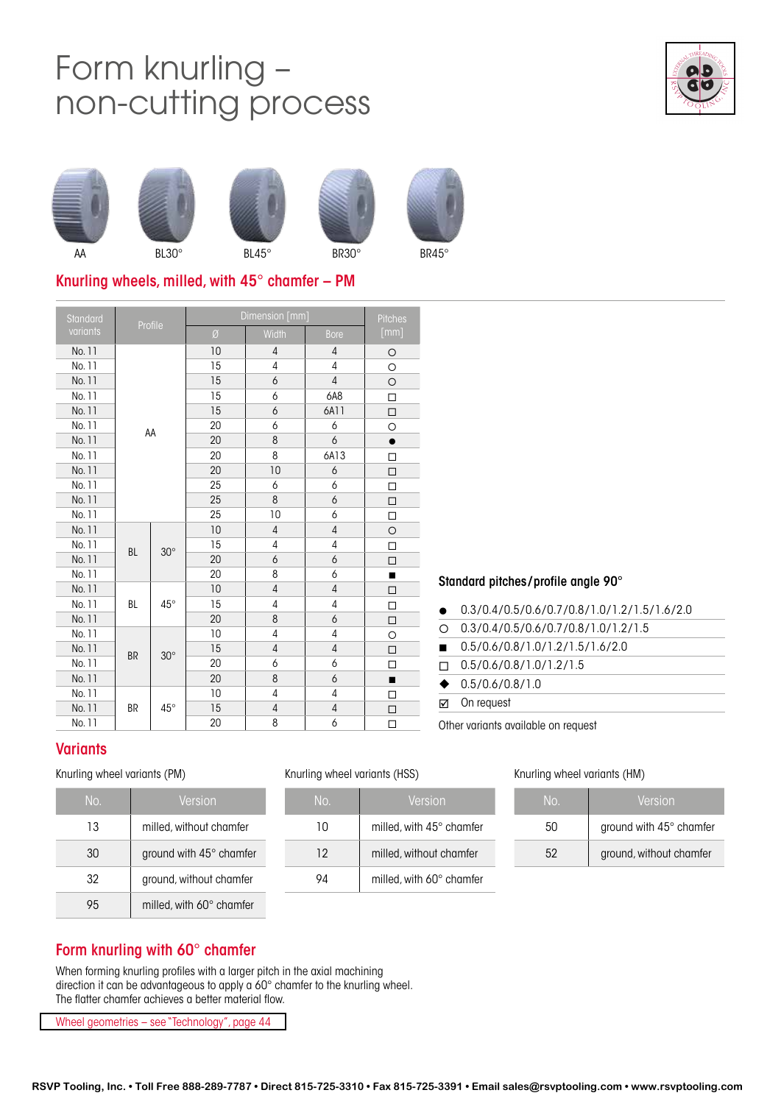# Form knurling – non-cutting process















 $\,$ AA BL30° BL45° BR30° BR45°

# Knurling wheels, milled, with 45° chamfer – PM

| Standard<br>Profile |           |              | Dimension [mm] | <b>Pitches</b> |                |                |
|---------------------|-----------|--------------|----------------|----------------|----------------|----------------|
| variants            |           |              | Ø              | Width          | <b>Bore</b>    | [mm]           |
| No. 11              |           |              | 10             | 4              | $\overline{4}$ | $\circ$        |
| No. 11              |           |              | 15             | 4              | 4              | O              |
| No. 11              |           |              | 15             | 6              | $\overline{4}$ | $\circ$        |
| No. 11              |           |              | 15             | 6              | 6A8            | $\Box$         |
| No. 11              |           |              | 15             | 6              | 6A11           | $\Box$         |
| No. 11              |           | AA           | 20             | 6              | 6              | O              |
| No. 11              |           |              | 20             | 8              | 6              | $\bullet$      |
| No. 11              |           |              | 20             | 8              | 6A13           | □              |
| No. 11              |           |              | 20             | 10             | 6              | $\Box$         |
| No. 11              |           |              | 25             | 6              | 6              | □              |
| No. 11              |           |              | 25             | 8              | 6              | $\Box$         |
| No. 11              |           |              | 25             | 10             | 6              | $\Box$         |
| No. 11              |           | $30^\circ$   | 10             | $\overline{4}$ | $\overline{4}$ | $\circ$        |
| No. 11              | <b>BL</b> |              | 15             | 4              | 4              | □              |
| No. 11              |           |              | 20             | 6              | 6              | □              |
| No. 11              |           |              | 20             | 8              | 6              | п              |
| No. 11              |           |              | 10             | $\sqrt{4}$     | $\sqrt{4}$     | $\Box$         |
| No. 11              | <b>BL</b> | $45^{\circ}$ | 15             | 4              | $\overline{4}$ | □              |
| No. 11              |           |              | 20             | 8              | 6              | $\Box$         |
| No. 11              |           |              | 10             | 4              | 4              | $\circ$        |
| No. 11              |           | $30^\circ$   | 15             | $\overline{4}$ | $\sqrt{4}$     | $\Box$         |
| No. 11              | <b>BR</b> |              | 20             | 6              | 6              | □              |
| No. 11              |           |              | 20             | 8              | 6              | $\blacksquare$ |
| No. 11              |           |              | 10             | 4              | 4              | п              |
| No. 11              | BR        | $45^{\circ}$ | 15             | 4              | $\sqrt{4}$     | □              |
| No. 11              |           |              | 20             | 8              | 6              | □              |

### Standard pitches/profile angle 90°

Other variants available on request

| ☑         | On reguest                                    |
|-----------|-----------------------------------------------|
| $\bullet$ | 0.5/0.6/0.8/1.0                               |
| П         | 0.5/0.6/0.8/1.0/1.2/1.5                       |
| п         | 0.5/0.6/0.8/1.0/1.2/1.5/1.6/2.0               |
| ∩         | 0.3/0.4/0.5/0.6/0.7/0.8/1.0/1.2/1.5           |
| $\bullet$ | $0.3/0.4/0.5/0.6/0.7/0.8/1.0/1.2/1.5/1.6/2.0$ |
|           |                                               |

## **Variants**

### Knurling wheel variants (PM)

| No. | Version                        |
|-----|--------------------------------|
| 13  | milled, without chamfer        |
| 30  | ground with $45^\circ$ chamfer |
| 32  | ground, without chamfer        |
|     | milled, with 60° chamfer       |

### Knurling wheel variants (HSS) Knurling wheel variants (HM)

| No. | Version                           |
|-----|-----------------------------------|
| 10  | milled, with $45^{\circ}$ chamfer |
| 12  | milled, without chamfer           |
| JЛ  | milled, with $60^\circ$ chamfer   |

| No. | Version                 |
|-----|-------------------------|
| ה5. | ground with 45° chamfer |
| 52  | ground, without chamfer |

# Form knurling with 60° chamfer

When forming knurling profiles with a larger pitch in the axial machining direction it can be advantageous to apply a 60° chamfer to the knurling wheel. The flatter chamfer achieves a better material flow.

Wheel geometries – see "Technology", page 44